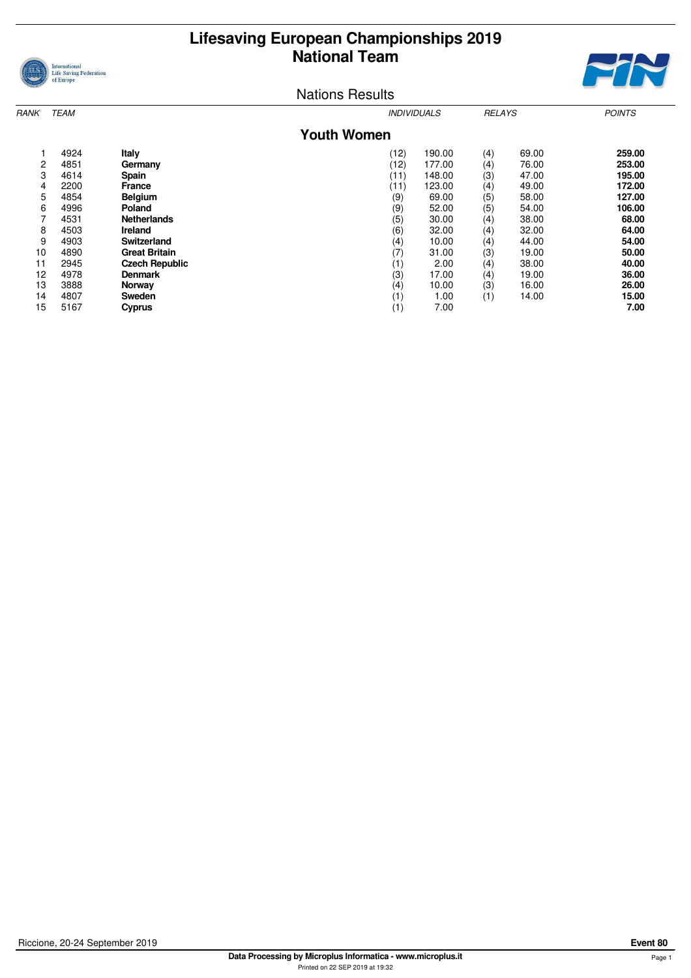



| RANK | <b>TEAM</b>        |                       |          | <i><b>INDIVIDUALS</b></i> |     | <b>RELAYS</b> | <b>POINTS</b> |  |  |  |  |
|------|--------------------|-----------------------|----------|---------------------------|-----|---------------|---------------|--|--|--|--|
|      | <b>Youth Women</b> |                       |          |                           |     |               |               |  |  |  |  |
|      | 4924               | Italy                 | (12)     | 190.00                    | (4) | 69.00         | 259.00        |  |  |  |  |
| 2    | 4851               | Germany               | (12)     | 177.00                    | (4) | 76.00         | 253.00        |  |  |  |  |
| 3    | 4614               | Spain                 | (11)     | 148.00                    | (3) | 47.00         | 195.00        |  |  |  |  |
| 4    | 2200               | <b>France</b>         | (11)     | 123.00                    | (4) | 49.00         | 172.00        |  |  |  |  |
| 5    | 4854               | <b>Belgium</b>        | (9)      | 69.00                     | (5) | 58.00         | 127.00        |  |  |  |  |
| 6    | 4996               | Poland                | (9)      | 52.00                     | (5) | 54.00         | 106.00        |  |  |  |  |
| 7    | 4531               | <b>Netherlands</b>    | (5)      | 30.00                     | (4) | 38.00         | 68.00         |  |  |  |  |
| 8    | 4503               | <b>Ireland</b>        | (6)      | 32.00                     | (4) | 32.00         | 64.00         |  |  |  |  |
| 9    | 4903               | <b>Switzerland</b>    | $^{(4)}$ | 10.00                     | (4) | 44.00         | 54.00         |  |  |  |  |
| 10   | 4890               | <b>Great Britain</b>  | (7)      | 31.00                     | (3) | 19.00         | 50.00         |  |  |  |  |
| 11   | 2945               | <b>Czech Republic</b> | (1)      | 2.00                      | (4) | 38.00         | 40.00         |  |  |  |  |
| 12   | 4978               | <b>Denmark</b>        | (3)      | 17.00                     | (4) | 19.00         | 36.00         |  |  |  |  |
| 13   | 3888               | Norway                | $^{(4)}$ | 10.00                     | (3) | 16.00         | 26.00         |  |  |  |  |
| 14   | 4807               | Sweden                | (1)      | 1.00                      | (1) | 14.00         | 15.00         |  |  |  |  |
| 15   | 5167               | <b>Cyprus</b>         | (1)      | 7.00                      |     |               | 7.00          |  |  |  |  |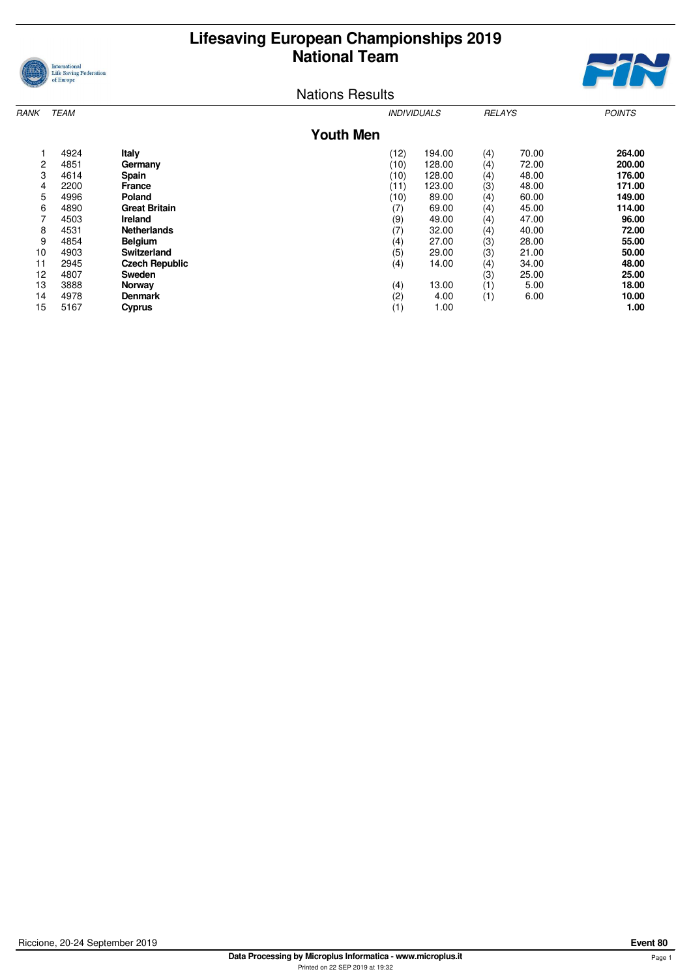



| RANK | <b>TEAM</b> |                       |                  | <b>INDIVIDUALS</b> |        | <b>RELAYS</b> |       | <b>POINTS</b> |
|------|-------------|-----------------------|------------------|--------------------|--------|---------------|-------|---------------|
|      |             |                       | <b>Youth Men</b> |                    |        |               |       |               |
|      | 4924        | Italy                 |                  | (12)               | 194.00 | (4)           | 70.00 | 264.00        |
| 2    | 4851        | Germany               |                  | (10)               | 128.00 | (4)           | 72.00 | 200.00        |
| 3    | 4614        | Spain                 |                  | (10)               | 128.00 | (4)           | 48.00 | 176.00        |
| 4    | 2200        | <b>France</b>         |                  | (11)               | 123.00 | (3)           | 48.00 | 171.00        |
| 5    | 4996        | Poland                |                  | (10)               | 89.00  | (4)           | 60.00 | 149.00        |
| 6    | 4890        | <b>Great Britain</b>  |                  | (7)                | 69.00  | (4)           | 45.00 | 114.00        |
| 7    | 4503        | Ireland               |                  | (9)                | 49.00  | (4)           | 47.00 | 96.00         |
| 8    | 4531        | <b>Netherlands</b>    |                  | (7)                | 32.00  | (4)           | 40.00 | 72.00         |
| 9    | 4854        | <b>Belgium</b>        |                  | (4)                | 27.00  | (3)           | 28.00 | 55.00         |
| 10   | 4903        | <b>Switzerland</b>    |                  | (5)                | 29.00  | (3)           | 21.00 | 50.00         |
| 11   | 2945        | <b>Czech Republic</b> |                  | (4)                | 14.00  | (4)           | 34.00 | 48.00         |
| 12   | 4807        | <b>Sweden</b>         |                  |                    |        | (3)           | 25.00 | 25.00         |
| 13   | 3888        | <b>Norway</b>         |                  | (4)                | 13.00  | (1)           | 5.00  | 18.00         |
| 14   | 4978        | <b>Denmark</b>        |                  | (2)                | 4.00   | (1)           | 6.00  | 10.00         |
| 15   | 5167        | Cyprus                |                  | (1)                | 1.00   |               |       | 1.00          |
|      |             |                       |                  |                    |        |               |       |               |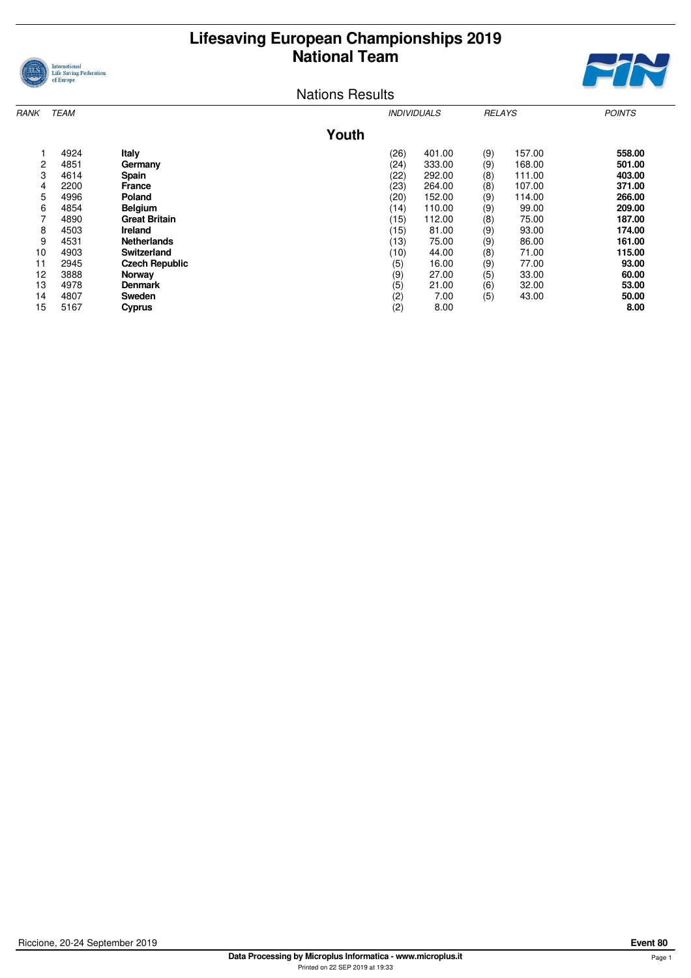



| RANK | <b>TEAM</b> |                       |       |      | <i><b>INDIVIDUALS</b></i> | <b>RELAYS</b> |        | <b>POINTS</b> |
|------|-------------|-----------------------|-------|------|---------------------------|---------------|--------|---------------|
|      |             |                       | Youth |      |                           |               |        |               |
|      | 4924        | Italy                 |       | (26) | 401.00                    | (9)           | 157.00 | 558.00        |
| 2    | 4851        | Germany               |       | (24) | 333.00                    | (9)           | 168.00 | 501.00        |
| 3    | 4614        | <b>Spain</b>          |       | (22) | 292.00                    | (8)           | 111.00 | 403.00        |
| 4    | 2200        | <b>France</b>         |       | (23) | 264.00                    | (8)           | 107.00 | 371.00        |
| 5    | 4996        | Poland                |       | (20) | 152.00                    | (9)           | 114.00 | 266.00        |
| 6    | 4854        | <b>Belgium</b>        |       | (14) | 110.00                    | (9)           | 99.00  | 209.00        |
| 7    | 4890        | <b>Great Britain</b>  |       | (15) | 112.00                    | (8)           | 75.00  | 187.00        |
| 8    | 4503        | Ireland               |       | (15) | 81.00                     | (9)           | 93.00  | 174.00        |
| 9    | 4531        | <b>Netherlands</b>    |       | (13) | 75.00                     | (9)           | 86.00  | 161.00        |
| 10   | 4903        | Switzerland           |       | (10) | 44.00                     | (8)           | 71.00  | 115.00        |
| 11   | 2945        | <b>Czech Republic</b> |       | (5)  | 16.00                     | (9)           | 77.00  | 93.00         |
| 12   | 3888        | Norway                |       | (9)  | 27.00                     | (5)           | 33.00  | 60.00         |
| 13   | 4978        | <b>Denmark</b>        |       | (5)  | 21.00                     | (6)           | 32.00  | 53.00         |
| 14   | 4807        | Sweden                |       | (2)  | 7.00                      | (5)           | 43.00  | 50.00         |
| 15   | 5167        | Cyprus                |       | (2)  | 8.00                      |               |        | 8.00          |
|      |             |                       |       |      |                           |               |        |               |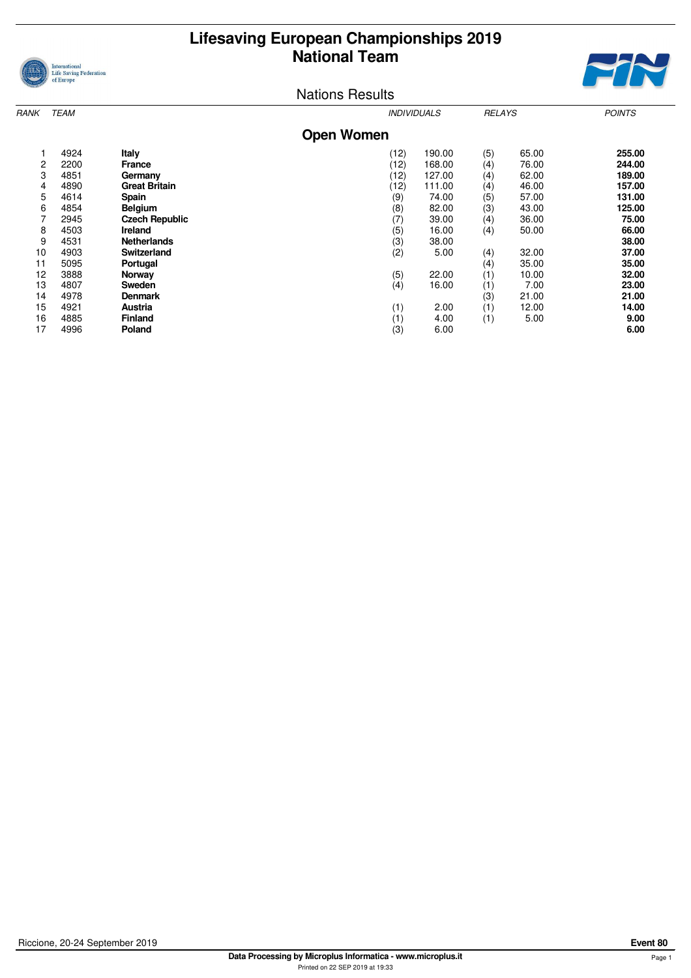



| <b>TEAM</b><br>RANK |      |                       |                   | <b>INDIVIDUALS</b> |          | <b>RELAYS</b> | <b>POINTS</b> |
|---------------------|------|-----------------------|-------------------|--------------------|----------|---------------|---------------|
|                     |      |                       | <b>Open Women</b> |                    |          |               |               |
|                     | 4924 | Italy                 | (12)              | 190.00             | (5)      | 65.00         | 255.00        |
| 2                   | 2200 | <b>France</b>         | (12)              | 168.00             | (4)      | 76.00         | 244.00        |
| 3                   | 4851 | Germany               | (12)              | 127.00             | (4)      | 62.00         | 189.00        |
| 4                   | 4890 | <b>Great Britain</b>  | (12)              | 111.00             | (4)      | 46.00         | 157.00        |
| 5                   | 4614 | <b>Spain</b>          | (9)               | 74.00              | (5)      | 57.00         | 131.00        |
| 6                   | 4854 | <b>Belgium</b>        | (8)               | 82.00              | (3)      | 43.00         | 125.00        |
| 7                   | 2945 | <b>Czech Republic</b> | (7)               | 39.00              | (4)      | 36.00         | 75.00         |
| 8                   | 4503 | Ireland               | (5)               | 16.00              | (4)      | 50.00         | 66.00         |
| 9                   | 4531 | <b>Netherlands</b>    | (3)               | 38.00              |          |               | 38.00         |
| 10                  | 4903 | <b>Switzerland</b>    | (2)               | 5.00               | (4)      | 32.00         | 37.00         |
| 11                  | 5095 | Portugal              |                   |                    | $^{(4)}$ | 35.00         | 35.00         |
| 12                  | 3888 | Norway                | (5)               | 22.00              | (1)      | 10.00         | 32.00         |
| 13                  | 4807 | <b>Sweden</b>         | (4)               | 16.00              | (1)      | 7.00          | 23.00         |
| 14                  | 4978 | <b>Denmark</b>        |                   |                    | (3)      | 21.00         | 21.00         |
| 15                  | 4921 | Austria               | (1)               | 2.00               | (1)      | 12.00         | 14.00         |
| 16                  | 4885 | <b>Finland</b>        | (1)               | 4.00               | (1)      | 5.00          | 9.00          |
| 17                  | 4996 | Poland                | (3)               | 6.00               |          |               | 6.00          |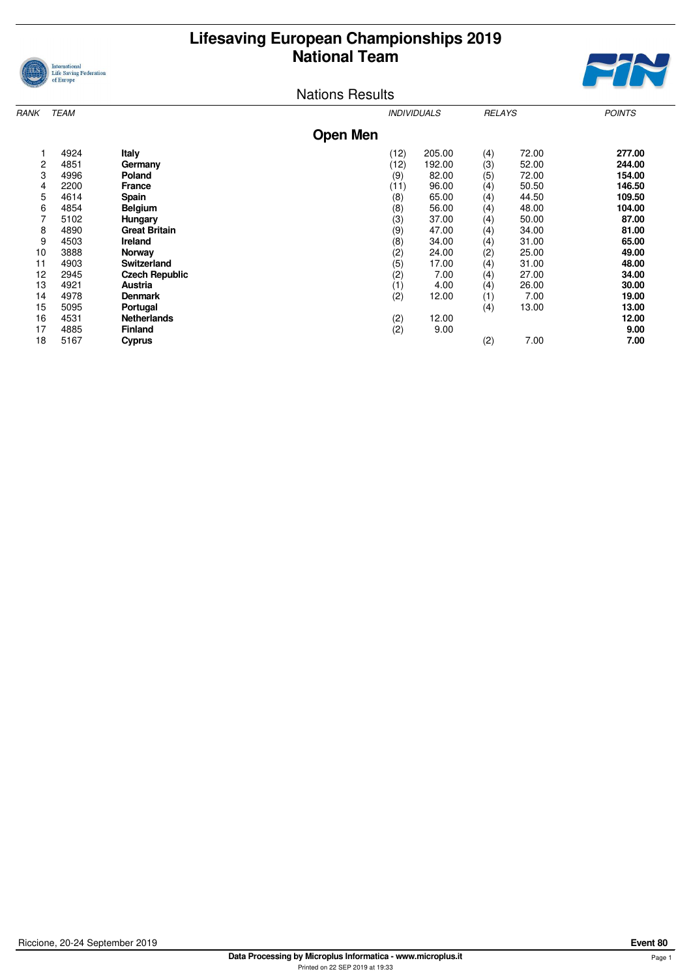



| RANK | <b>TEAM</b> |                       |                 |      | <b>INDIVIDUALS</b> | <b>RELAYS</b> |       | <b>POINTS</b> |
|------|-------------|-----------------------|-----------------|------|--------------------|---------------|-------|---------------|
|      |             |                       | <b>Open Men</b> |      |                    |               |       |               |
|      | 4924        | <b>Italy</b>          |                 | (12) | 205.00             | (4)           | 72.00 | 277.00        |
| 2    | 4851        | Germany               |                 | (12) | 192.00             | (3)           | 52.00 | 244.00        |
| 3    | 4996        | Poland                |                 | (9)  | 82.00              | (5)           | 72.00 | 154.00        |
| 4    | 2200        | France                |                 | (11) | 96.00              | (4)           | 50.50 | 146.50        |
| 5    | 4614        | <b>Spain</b>          |                 | (8)  | 65.00              | (4)           | 44.50 | 109.50        |
| 6    | 4854        | <b>Belgium</b>        |                 | (8)  | 56.00              | (4)           | 48.00 | 104.00        |
| 7    | 5102        | Hungary               |                 | (3)  | 37.00              | (4)           | 50.00 | 87.00         |
| 8    | 4890        | <b>Great Britain</b>  |                 | (9)  | 47.00              | (4)           | 34.00 | 81.00         |
| 9    | 4503        | Ireland               |                 | (8)  | 34.00              | (4)           | 31.00 | 65.00         |
| 10   | 3888        | Norway                |                 | (2)  | 24.00              | (2)           | 25.00 | 49.00         |
| 11   | 4903        | <b>Switzerland</b>    |                 | (5)  | 17.00              | (4)           | 31.00 | 48.00         |
| 12   | 2945        | <b>Czech Republic</b> |                 | (2)  | 7.00               | (4)           | 27.00 | 34.00         |
| 13   | 4921        | Austria               |                 | (1)  | 4.00               | (4)           | 26.00 | 30.00         |
| 14   | 4978        | <b>Denmark</b>        |                 | (2)  | 12.00              | (1)           | 7.00  | 19.00         |
| 15   | 5095        | Portugal              |                 |      |                    | (4)           | 13.00 | 13.00         |
| 16   | 4531        | <b>Netherlands</b>    |                 | (2)  | 12.00              |               |       | 12.00         |
| 17   | 4885        | <b>Finland</b>        |                 | (2)  | 9.00               |               |       | 9.00          |
| 18   | 5167        | Cyprus                |                 |      |                    | (2)           | 7.00  | 7.00          |